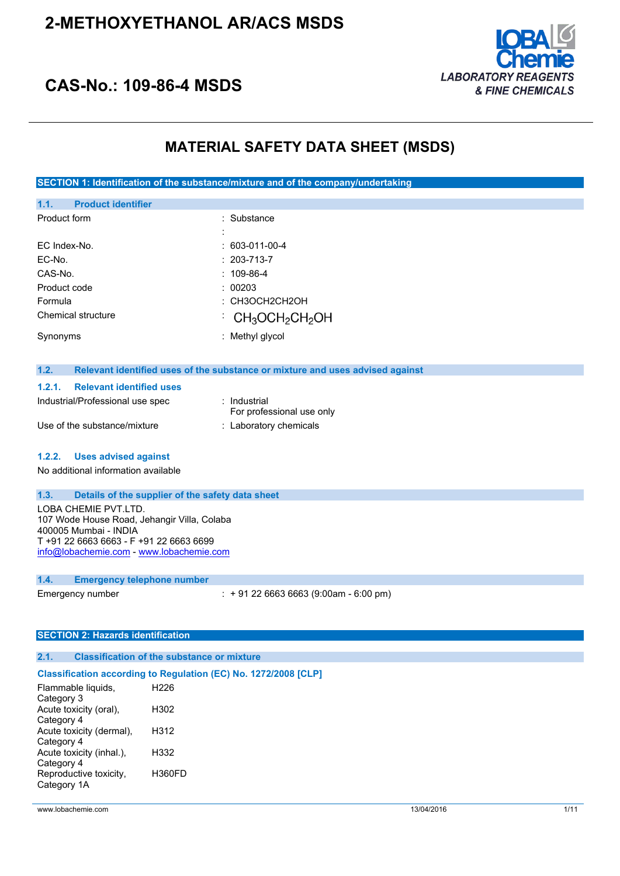

## **CAS-No.: 109-86-4 MSDS**

### **MATERIAL SAFETY DATA SHEET (MSDS)**

**SECTION 1: Identification of the substance/mixture and of the company/undertaking**

| 1.1.         | <b>Product identifier</b> |                                                             |  |
|--------------|---------------------------|-------------------------------------------------------------|--|
| Product form |                           | : Substance                                                 |  |
|              |                           |                                                             |  |
|              | FC Index-No.              | $: 603-011-00-4$                                            |  |
| EC-No.       |                           | $: 203 - 713 - 7$                                           |  |
| CAS-No.      |                           | $: 109-86-4$                                                |  |
| Product code |                           | : 00203                                                     |  |
| Formula      |                           | : СНЗОСН2СН2ОН                                              |  |
|              | Chemical structure        | $\cdot$ CH <sub>3</sub> OCH <sub>2</sub> CH <sub>2</sub> OH |  |
| Synonyms     |                           | : Methyl glycol                                             |  |

#### **1.2. Relevant identified uses of the substance or mixture and uses advised against**

#### **1.2.1. Relevant identified uses**

| Industrial/Professional use spec | : Industrial<br>For professional use only |
|----------------------------------|-------------------------------------------|
| Use of the substance/mixture     | : Laboratory chemicals                    |

#### **1.2.2. Uses advised against**

No additional information available

#### **1.3. Details of the supplier of the safety data sheet**

LOBA CHEMIE PVT.LTD. 107 Wode House Road, Jehangir Villa, Colaba 400005 Mumbai - INDIA T +91 22 6663 6663 - F +91 22 6663 6699 [info@lobachemie.com](mailto:info@lobachemie.com) - <www.lobachemie.com>

#### **1.4. Emergency telephone number**

Emergency number : + 91 22 6663 6663 (9:00am - 6:00 pm)

#### **SECTION 2: Hazards identification**

#### **2.1. Classification of the substance or mixture**

#### **Classification according to Regulation (EC) No. 1272/2008 [CLP]**

| H <sub>226</sub> |
|------------------|
| H302             |
|                  |
| H312             |
| H332             |
| <b>H360FD</b>    |
|                  |
|                  |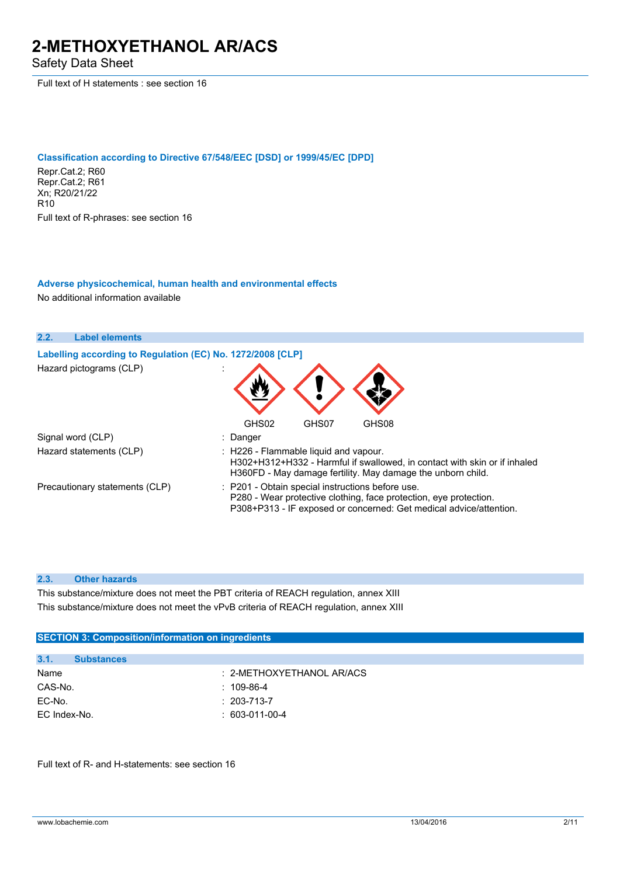Safety Data Sheet

Full text of H statements : see section 16

#### **Classification according to Directive 67/548/EEC [DSD] or 1999/45/EC [DPD]**

Repr.Cat.2; R60 Repr.Cat.2; R61 Xn; R20/21/22 R10 Full text of R-phrases: see section 16

#### **Adverse physicochemical, human health and environmental effects**

No additional information available

| 2.2. | <b>Label elements</b>                                      |                                                                                                                                                                                             |
|------|------------------------------------------------------------|---------------------------------------------------------------------------------------------------------------------------------------------------------------------------------------------|
|      | Labelling according to Regulation (EC) No. 1272/2008 [CLP] |                                                                                                                                                                                             |
|      | Hazard pictograms (CLP)                                    |                                                                                                                                                                                             |
|      |                                                            | GHS02<br>GHS08<br>GHS07                                                                                                                                                                     |
|      | Signal word (CLP)                                          | : Danger                                                                                                                                                                                    |
|      | Hazard statements (CLP)                                    | : H226 - Flammable liquid and vapour.<br>H302+H312+H332 - Harmful if swallowed, in contact with skin or if inhaled<br>H360FD - May damage fertility. May damage the unborn child.           |
|      | Precautionary statements (CLP)                             | : P201 - Obtain special instructions before use.<br>P280 - Wear protective clothing, face protection, eye protection.<br>P308+P313 - IF exposed or concerned: Get medical advice/attention. |

#### **2.3. Other hazards**

This substance/mixture does not meet the PBT criteria of REACH regulation, annex XIII This substance/mixture does not meet the vPvB criteria of REACH regulation, annex XIII

| <b>SECTION 3: Composition/information on ingredients</b> |                   |                           |
|----------------------------------------------------------|-------------------|---------------------------|
|                                                          |                   |                           |
| 3.1.                                                     | <b>Substances</b> |                           |
| Name                                                     |                   | : 2-METHOXYETHANOL AR/ACS |
| CAS-No.                                                  |                   | $: 109-86-4$              |
| EC-No.                                                   |                   | $: 203 - 713 - 7$         |
| EC Index-No.                                             |                   | $: 603-011-00-4$          |
|                                                          |                   |                           |

Full text of R- and H-statements: see section 16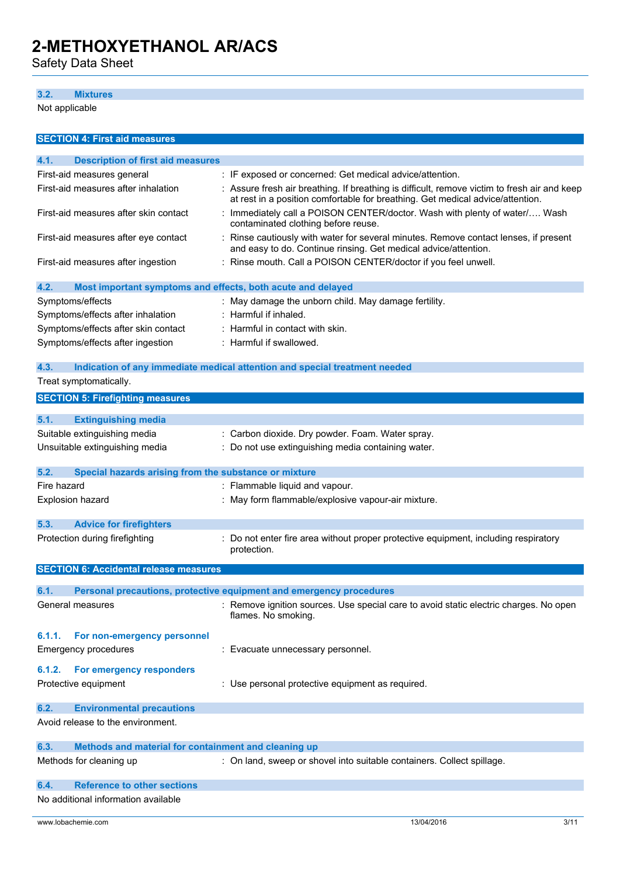Safety Data Sheet

#### **3.2. Mixtures**

Not applicable

| <b>SECTION 4: First aid measures</b>                                |                                                                                                                                                                                |  |  |
|---------------------------------------------------------------------|--------------------------------------------------------------------------------------------------------------------------------------------------------------------------------|--|--|
| 4.1.<br><b>Description of first aid measures</b>                    |                                                                                                                                                                                |  |  |
| First-aid measures general                                          | : IF exposed or concerned: Get medical advice/attention.                                                                                                                       |  |  |
| First-aid measures after inhalation                                 | : Assure fresh air breathing. If breathing is difficult, remove victim to fresh air and keep<br>at rest in a position comfortable for breathing. Get medical advice/attention. |  |  |
| First-aid measures after skin contact                               | Immediately call a POISON CENTER/doctor. Wash with plenty of water/ Wash<br>contaminated clothing before reuse.                                                                |  |  |
| First-aid measures after eye contact                                | : Rinse cautiously with water for several minutes. Remove contact lenses, if present<br>and easy to do. Continue rinsing. Get medical advice/attention.                        |  |  |
| First-aid measures after ingestion                                  | : Rinse mouth. Call a POISON CENTER/doctor if you feel unwell.                                                                                                                 |  |  |
| 4.2.<br>Most important symptoms and effects, both acute and delayed |                                                                                                                                                                                |  |  |
| Symptoms/effects                                                    | : May damage the unborn child. May damage fertility.                                                                                                                           |  |  |
| Symptoms/effects after inhalation                                   | : Harmful if inhaled.                                                                                                                                                          |  |  |
| Symptoms/effects after skin contact                                 | : Harmful in contact with skin.                                                                                                                                                |  |  |
| Symptoms/effects after ingestion                                    | : Harmful if swallowed.                                                                                                                                                        |  |  |
| 4.3.                                                                | Indication of any immediate medical attention and special treatment needed                                                                                                     |  |  |
| Treat symptomatically.                                              |                                                                                                                                                                                |  |  |
| <b>SECTION 5: Firefighting measures</b>                             |                                                                                                                                                                                |  |  |
| 5.1.<br><b>Extinguishing media</b>                                  |                                                                                                                                                                                |  |  |
| Suitable extinguishing media                                        | : Carbon dioxide. Dry powder. Foam. Water spray.                                                                                                                               |  |  |
| Unsuitable extinguishing media                                      | : Do not use extinguishing media containing water.                                                                                                                             |  |  |
|                                                                     |                                                                                                                                                                                |  |  |
| 5.2.<br>Special hazards arising from the substance or mixture       |                                                                                                                                                                                |  |  |
| Fire hazard                                                         | : Flammable liquid and vapour.                                                                                                                                                 |  |  |
| Explosion hazard                                                    | : May form flammable/explosive vapour-air mixture.                                                                                                                             |  |  |
|                                                                     |                                                                                                                                                                                |  |  |
| 5.3.<br><b>Advice for firefighters</b>                              |                                                                                                                                                                                |  |  |
| Protection during firefighting                                      | Do not enter fire area without proper protective equipment, including respiratory<br>protection.                                                                               |  |  |
| <b>SECTION 6: Accidental release measures</b>                       |                                                                                                                                                                                |  |  |
|                                                                     |                                                                                                                                                                                |  |  |
| 6.1.                                                                | Personal precautions, protective equipment and emergency procedures                                                                                                            |  |  |
| General measures                                                    | : Remove ignition sources. Use special care to avoid static electric charges. No open<br>flames. No smoking.                                                                   |  |  |
| For non-emergency personnel<br>6.1.1.                               |                                                                                                                                                                                |  |  |
| <b>Emergency procedures</b>                                         | : Evacuate unnecessary personnel.                                                                                                                                              |  |  |
| 6.1.2.<br>For emergency responders                                  |                                                                                                                                                                                |  |  |
| Protective equipment                                                | : Use personal protective equipment as required.                                                                                                                               |  |  |
| 6.2.<br><b>Environmental precautions</b>                            |                                                                                                                                                                                |  |  |
| Avoid release to the environment.                                   |                                                                                                                                                                                |  |  |
| 6.3.<br>Methods and material for containment and cleaning up        |                                                                                                                                                                                |  |  |
| Methods for cleaning up                                             | : On land, sweep or shovel into suitable containers. Collect spillage.                                                                                                         |  |  |
| <b>Reference to other sections</b><br>6.4.                          |                                                                                                                                                                                |  |  |
| No additional information available                                 |                                                                                                                                                                                |  |  |
|                                                                     |                                                                                                                                                                                |  |  |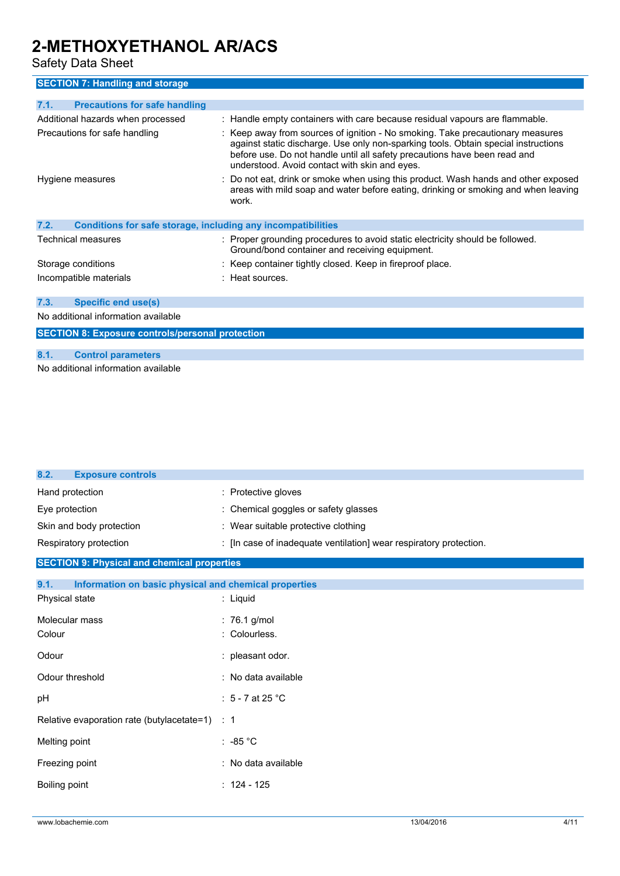Safety Data Sheet

### **SECTION 7: Handling and storage**

| <b>Precautions for safe handling</b><br>7.1.                         |                                                                                                                                                                                                                                                                                                    |  |
|----------------------------------------------------------------------|----------------------------------------------------------------------------------------------------------------------------------------------------------------------------------------------------------------------------------------------------------------------------------------------------|--|
| Additional hazards when processed                                    | : Handle empty containers with care because residual vapours are flammable.                                                                                                                                                                                                                        |  |
| Precautions for safe handling                                        | : Keep away from sources of ignition - No smoking. Take precautionary measures<br>against static discharge. Use only non-sparking tools. Obtain special instructions<br>before use. Do not handle until all safety precautions have been read and<br>understood. Avoid contact with skin and eyes. |  |
| Hygiene measures                                                     | : Do not eat, drink or smoke when using this product. Wash hands and other exposed<br>areas with mild soap and water before eating, drinking or smoking and when leaving<br>work.                                                                                                                  |  |
| 7.2.<br>Conditions for safe storage, including any incompatibilities |                                                                                                                                                                                                                                                                                                    |  |
| Technical measures                                                   | : Proper grounding procedures to avoid static electricity should be followed.<br>Ground/bond container and receiving equipment.                                                                                                                                                                    |  |
| Storage conditions                                                   | : Keep container tightly closed. Keep in fireproof place.                                                                                                                                                                                                                                          |  |
| Incompatible materials                                               | $:$ Heat sources.                                                                                                                                                                                                                                                                                  |  |
| 7.3.<br><b>Specific end use(s)</b>                                   |                                                                                                                                                                                                                                                                                                    |  |
| No additional information available                                  |                                                                                                                                                                                                                                                                                                    |  |

**SECTION 8: Exposure controls/personal protection**

#### **8.1. Control parameters**

No additional information available

| 8.2.<br><b>Exposure controls</b>                              |                                                                    |
|---------------------------------------------------------------|--------------------------------------------------------------------|
| Hand protection                                               | : Protective gloves                                                |
| Eye protection                                                | : Chemical goggles or safety glasses                               |
| Skin and body protection                                      | : Wear suitable protective clothing                                |
| Respiratory protection                                        | : [In case of inadequate ventilation] wear respiratory protection. |
| <b>SECTION 9: Physical and chemical properties</b>            |                                                                    |
| Information on basic physical and chemical properties<br>9.1. |                                                                    |
| Physical state                                                | : Liquid                                                           |
| Molecular mass                                                | : 76.1 g/mol                                                       |
| Colour                                                        | : Colourless.                                                      |
| Odour                                                         | : pleasant odor.                                                   |
| Odour threshold                                               | : No data available                                                |
| pH                                                            | : $5 - 7$ at 25 °C                                                 |
| Relative evaporation rate (butylacetate=1)                    | $\therefore$ 1                                                     |
| Melting point                                                 | $: -85 °C$                                                         |
| Freezing point                                                | : No data available                                                |
| Boiling point                                                 | $: 124 - 125$                                                      |
|                                                               |                                                                    |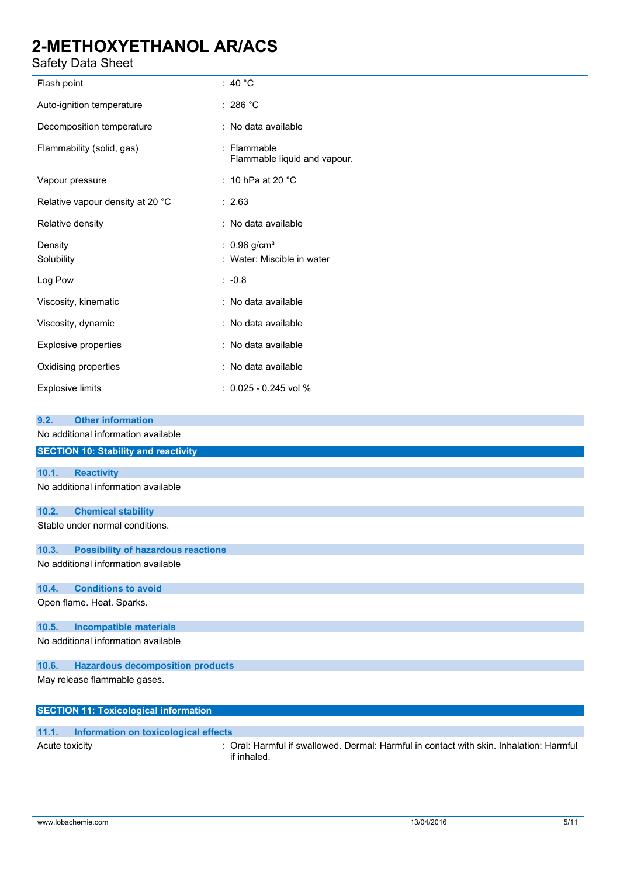### Safety Data Sheet

| υαισιγ υαια υποσι                                  |                                                          |  |
|----------------------------------------------------|----------------------------------------------------------|--|
| Flash point                                        | : 40 $^{\circ}$ C                                        |  |
| Auto-ignition temperature                          | : 286 °C                                                 |  |
| Decomposition temperature                          | : No data available                                      |  |
| Flammability (solid, gas)                          | : Flammable<br>Flammable liquid and vapour.              |  |
| Vapour pressure                                    | : 10 hPa at 20 $^{\circ}$ C                              |  |
| Relative vapour density at 20 °C                   | : 2.63                                                   |  |
| Relative density                                   | : No data available                                      |  |
| Density<br>Solubility                              | : $0.96$ g/cm <sup>3</sup><br>: Water: Miscible in water |  |
| Log Pow                                            | $: -0.8$                                                 |  |
| Viscosity, kinematic                               | : No data available                                      |  |
| Viscosity, dynamic                                 | : No data available                                      |  |
| <b>Explosive properties</b>                        | : No data available                                      |  |
| Oxidising properties                               | : No data available                                      |  |
| <b>Explosive limits</b>                            | $: 0.025 - 0.245$ vol %                                  |  |
| <b>Other information</b><br>9.2.                   |                                                          |  |
| No additional information available                |                                                          |  |
| <b>SECTION 10: Stability and reactivity</b>        |                                                          |  |
| 10.1.<br><b>Reactivity</b>                         |                                                          |  |
| No additional information available                |                                                          |  |
| <b>Chemical stability</b><br>10.2.                 |                                                          |  |
| Stable under normal conditions.                    |                                                          |  |
| <b>Possibility of hazardous reactions</b><br>10.3. |                                                          |  |
| No additional information available                |                                                          |  |
| 10.4.<br><b>Conditions to avoid</b>                |                                                          |  |
| Open flame. Heat. Sparks.                          |                                                          |  |
| <b>Incompatible materials</b><br>10.5.             |                                                          |  |

No additional information available

#### **10.6. Hazardous decomposition products**

May release flammable gases.

| <b>SECTION 11: Toxicological information</b> |                                      |  |
|----------------------------------------------|--------------------------------------|--|
|                                              |                                      |  |
| 11.1.                                        | Information on toxicological effects |  |

Acute toxicity **in the state of the Coral: Harmful if swallowed. Dermal: Harmful in contact with skin. Inhalation: Harmful in the state of the state of the state of the state of the state of the state of the state of the s** if inhaled.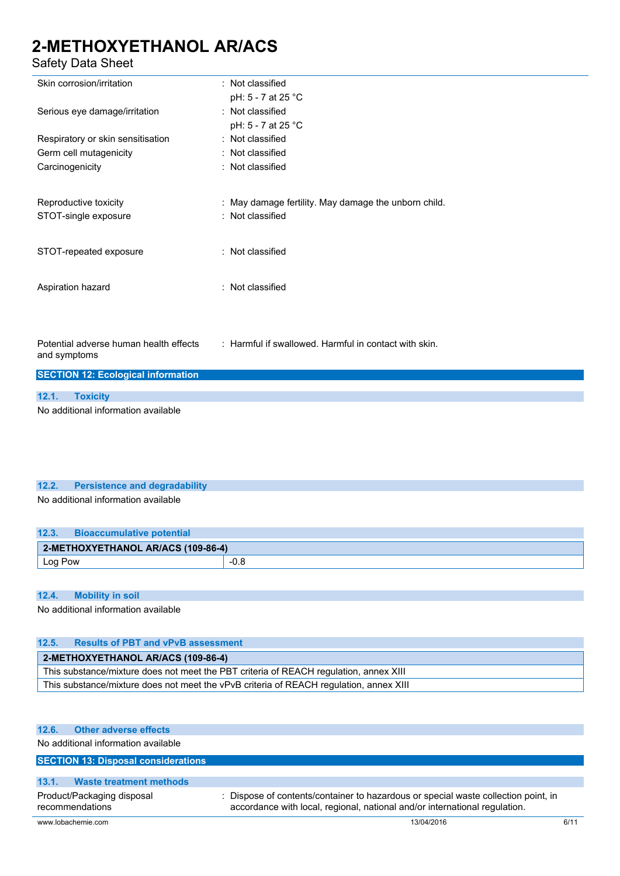### Safety Data Sheet

| Skin corrosion/irritation                              | : Not classified                                      |
|--------------------------------------------------------|-------------------------------------------------------|
|                                                        | pH: 5 - 7 at 25 °C                                    |
| Serious eye damage/irritation                          | : Not classified                                      |
|                                                        | pH: 5 - 7 at 25 °C                                    |
| Respiratory or skin sensitisation                      | : Not classified                                      |
| Germ cell mutagenicity                                 | : Not classified                                      |
| Carcinogenicity                                        | : Not classified                                      |
| Reproductive toxicity                                  | : May damage fertility. May damage the unborn child.  |
| STOT-single exposure                                   | : Not classified                                      |
| STOT-repeated exposure                                 | : Not classified                                      |
| Aspiration hazard                                      | : Not classified                                      |
| Potential adverse human health effects<br>and symptoms | : Harmful if swallowed. Harmful in contact with skin. |
| <b>SECTION 12: Ecological information</b>              |                                                       |
| 12.1.                                                  |                                                       |
| <b>Toxicity</b>                                        |                                                       |
| No additional information available                    |                                                       |
|                                                        |                                                       |

#### **12.2. Persistence and degradability**

No additional information available

| 12.3.   | <b>Bioaccumulative potential</b>   |      |
|---------|------------------------------------|------|
|         | 2-METHOXYETHANOL AR/ACS (109-86-4) |      |
| Log Pow |                                    | -v.o |

#### **12.4. Mobility in soil**

No additional information available

| 12.5.                                                                                  | <b>Results of PBT and vPvB assessment</b> |  |
|----------------------------------------------------------------------------------------|-------------------------------------------|--|
| 2-METHOXYETHANOL AR/ACS (109-86-4)                                                     |                                           |  |
| This substance/mixture does not meet the PBT criteria of REACH regulation, annex XIII  |                                           |  |
| This substance/mixture does not meet the vPvB criteria of REACH regulation, annex XIII |                                           |  |

#### **12.6. Other adverse effects**

No additional information available

#### **SECTION 13: Disposal considerations**

#### **13.1. Waste treatment methods**

Product/Packaging disposal

recommendations

: Dispose of contents/container to hazardous or special waste collection point, in accordance with local, regional, national and/or international regulation.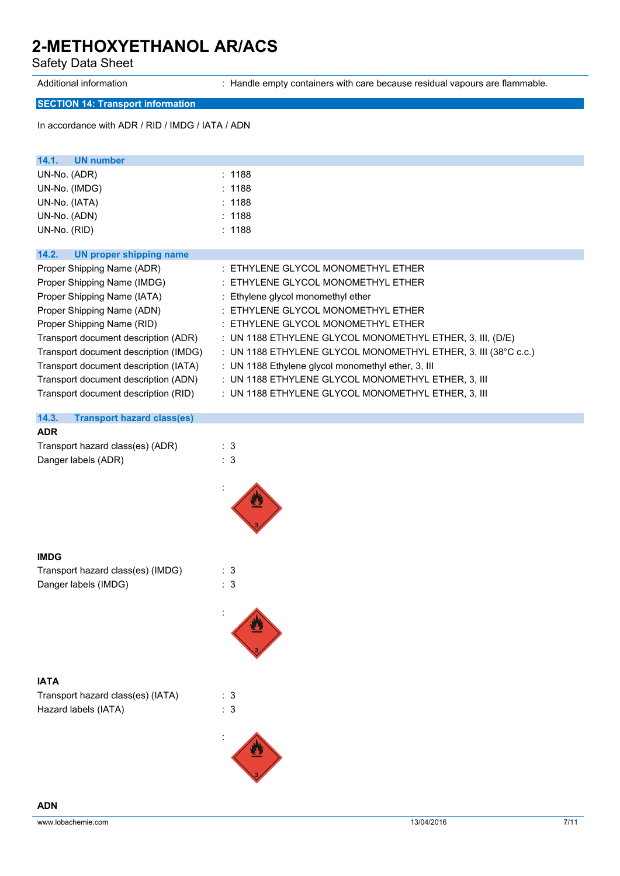Safety Data Sheet

Additional information : Handle empty containers with care because residual vapours are flammable.

### **SECTION 14: Transport information**

In accordance with ADR / RID / IMDG / IATA / ADN

| 14.1.<br>UN number                    |                                                                |
|---------------------------------------|----------------------------------------------------------------|
| UN-No. (ADR)                          | : 1188                                                         |
| UN-No. (IMDG)                         | : 1188                                                         |
| UN-No. (IATA)                         | : 1188                                                         |
| UN-No. (ADN)                          | : 1188                                                         |
| UN-No. (RID)                          | : 1188                                                         |
|                                       |                                                                |
| 14.2.<br>UN proper shipping name      |                                                                |
| Proper Shipping Name (ADR)            | : ETHYLENE GLYCOL MONOMETHYL ETHER                             |
| Proper Shipping Name (IMDG)           | : ETHYLENE GLYCOL MONOMETHYL ETHER                             |
| Proper Shipping Name (IATA)           | : Ethylene glycol monomethyl ether                             |
| Proper Shipping Name (ADN)            | $\pm$ ETHYLENE GLYCOL MONOMETHYL ETHER                         |
| Proper Shipping Name (RID)            | : ETHYLENE GLYCOL MONOMETHYL ETHER                             |
| Transport document description (ADR)  | : UN 1188 ETHYLENE GLYCOL MONOMETHYL ETHER, 3, III, (D/E)      |
| Transport document description (IMDG) | : UN 1188 ETHYLENE GLYCOL MONOMETHYL ETHER, 3, III (38°C c.c.) |
| Transport document description (IATA) | : UN 1188 Ethylene glycol monomethyl ether, 3, III             |
| Transport document description (ADN)  | : UN 1188 ETHYLENE GLYCOL MONOMETHYL ETHER, 3, III             |
| Transport document description (RID)  | : UN 1188 ETHYLENE GLYCOL MONOMETHYL ETHER, 3, III             |
|                                       |                                                                |

| <b>Transport hazard class(es)</b><br>14.3. |     |
|--------------------------------------------|-----|
| <b>ADR</b>                                 |     |
| Transport hazard class(es) (ADR)           | : 3 |
| Danger labels (ADR)                        | :3  |

| <b>IMDG</b>                       |    |
|-----------------------------------|----|
| Transport hazard class(es) (IMDG) | 3  |
| Danger labels (IMDG)              | -3 |

**IATA**

| Transport hazard class(es) (IATA) | : 3 |
|-----------------------------------|-----|
| Hazard labels (IATA)              | : 3 |

: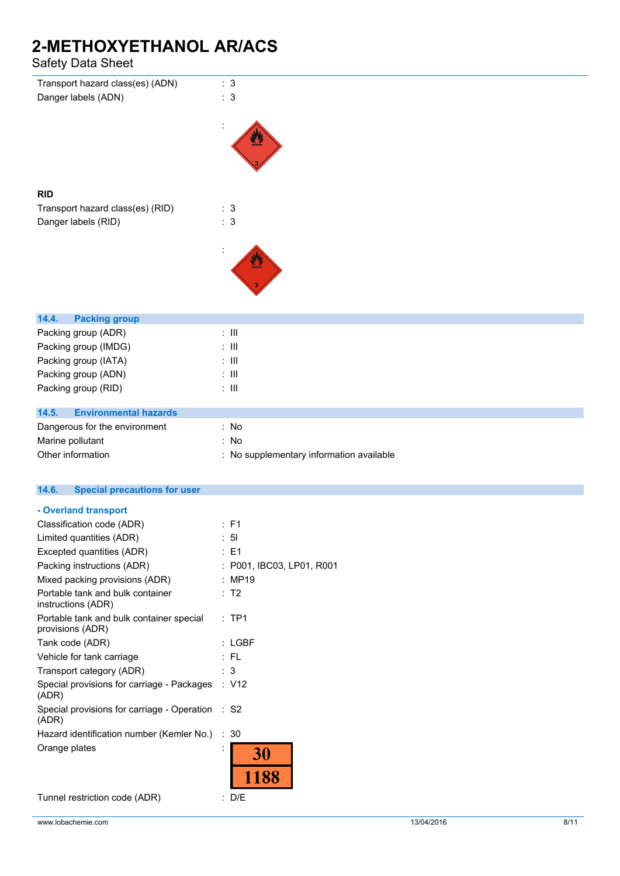### Safety Data Sheet

| ισισιν υαια υποσι                                            |                                          |
|--------------------------------------------------------------|------------------------------------------|
| Transport hazard class(es) (ADN)<br>Danger labels (ADN)      | : 3<br>: 3                               |
|                                                              |                                          |
|                                                              |                                          |
| <b>RID</b>                                                   |                                          |
| Transport hazard class(es) (RID)                             | : 3                                      |
| Danger labels (RID)                                          | : 3                                      |
|                                                              |                                          |
| 14.4.<br><b>Packing group</b>                                |                                          |
| Packing group (ADR)                                          | $:$ $\mathbb{H}$                         |
| Packing group (IMDG)                                         | $:$ $\mathbb H$                          |
| Packing group (IATA)                                         | $: \mathbb{H}$                           |
| Packing group (ADN)                                          | $:$ $\mathbb H$                          |
| Packing group (RID)                                          | $\therefore$ III                         |
| 14.5.<br><b>Environmental hazards</b>                        |                                          |
| Dangerous for the environment                                | : No                                     |
| Marine pollutant                                             | : No                                     |
| Other information                                            | : No supplementary information available |
| <b>Special precautions for user</b><br>14.6.                 |                                          |
| - Overland transport                                         |                                          |
| Classification code (ADR)                                    | : F1                                     |
| Limited quantities (ADR)                                     | : 51                                     |
| Excepted quantities (ADR)                                    | : E1                                     |
| Packing instructions (ADR)                                   | : P001, IBC03, LP01, R001                |
| Mixed packing provisions (ADR)                               | : MP19                                   |
| Portable tank and bulk container<br>instructions (ADR)       | : T2                                     |
| Portable tank and bulk container special<br>provisions (ADR) | :TP1                                     |

Tank code (ADR) : LGBF Vehicle for tank carriage : FL Transport category (ADR) : 3 Special provisions for carriage - Packages : V12 (ADR) Special provisions for carriage - Operation : S2 (ADR) Hazard identification number (Kemler No.) : 30 Orange plates is a set of the set of the set of the set of the set of the set of the set of the set of the set of the set of the set of the set of the set of the set of the set of the set of the set of the set of the set o 30 1188

Tunnel restriction code (ADR) : D/E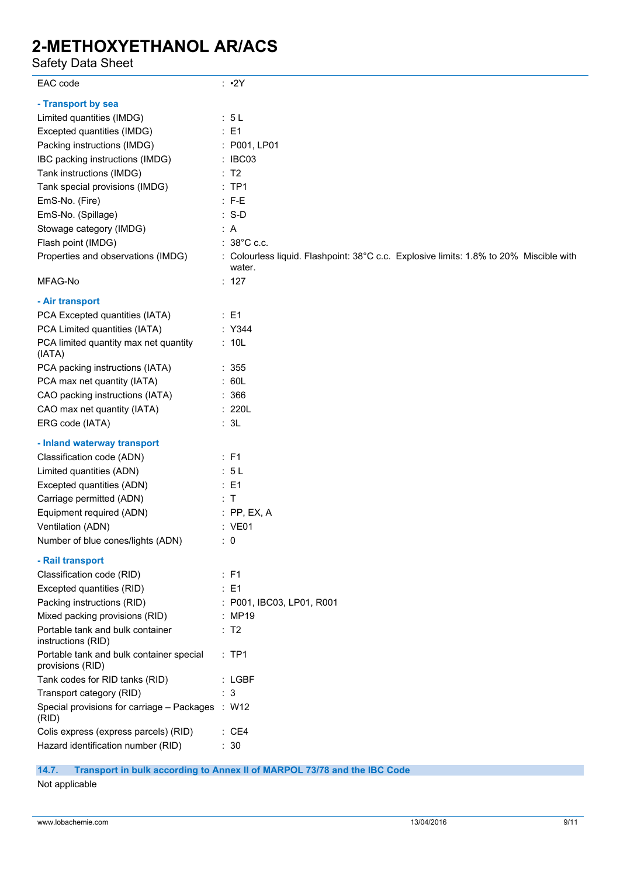Safety Data Sheet

| EAC code                                                     | $: \cdot 2Y$                                                                                     |
|--------------------------------------------------------------|--------------------------------------------------------------------------------------------------|
| - Transport by sea                                           |                                                                                                  |
| Limited quantities (IMDG)                                    | : 5L                                                                                             |
| Excepted quantities (IMDG)                                   | : E1                                                                                             |
| Packing instructions (IMDG)                                  | : P001, LP01                                                                                     |
| IBC packing instructions (IMDG)                              | : IBC03                                                                                          |
| Tank instructions (IMDG)                                     | : T2                                                                                             |
| Tank special provisions (IMDG)                               | :TP1                                                                                             |
| EmS-No. (Fire)                                               | $: F-E$                                                                                          |
| EmS-No. (Spillage)                                           | $: S-D$                                                                                          |
| Stowage category (IMDG)                                      | : A                                                                                              |
| Flash point (IMDG)                                           | $: 38^{\circ}$ C c.c.                                                                            |
| Properties and observations (IMDG)                           | : Colourless liquid. Flashpoint: 38°C c.c. Explosive limits: 1.8% to 20% Miscible with<br>water. |
| MFAG-No                                                      | : 127                                                                                            |
| - Air transport                                              |                                                                                                  |
| PCA Excepted quantities (IATA)                               | $\therefore$ E1                                                                                  |
| PCA Limited quantities (IATA)                                | : Y344                                                                                           |
| PCA limited quantity max net quantity<br>(IATA)              | : 10L                                                                                            |
| PCA packing instructions (IATA)                              | : 355                                                                                            |
| PCA max net quantity (IATA)                                  | : 60L                                                                                            |
| CAO packing instructions (IATA)                              | : 366                                                                                            |
| CAO max net quantity (IATA)                                  | : 220L                                                                                           |
| ERG code (IATA)                                              | : 3L                                                                                             |
| - Inland waterway transport                                  |                                                                                                  |
| Classification code (ADN)                                    | : F1                                                                                             |
| Limited quantities (ADN)                                     | : 5L                                                                                             |
| Excepted quantities (ADN)                                    | $\therefore$ E1                                                                                  |
| Carriage permitted (ADN)                                     | : T                                                                                              |
| Equipment required (ADN)                                     | $:$ PP, EX, A                                                                                    |
| Ventilation (ADN)                                            | : VE01                                                                                           |
| Number of blue cones/lights (ADN)                            | $\therefore$ 0                                                                                   |
| - Rail transport                                             |                                                                                                  |
| Classification code (RID)                                    | : F1                                                                                             |
| Excepted quantities (RID)                                    | $\therefore$ E1                                                                                  |
| Packing instructions (RID)                                   | : P001, IBC03, LP01, R001                                                                        |
| Mixed packing provisions (RID)                               | : MP19                                                                                           |
| Portable tank and bulk container<br>instructions (RID)       | : T2                                                                                             |
| Portable tank and bulk container special<br>provisions (RID) | :TP1                                                                                             |
| Tank codes for RID tanks (RID)                               | : LGBF                                                                                           |
| Transport category (RID)                                     | : 3                                                                                              |
| Special provisions for carriage - Packages : W12<br>(RID)    |                                                                                                  |
| Colis express (express parcels) (RID)                        | : CE4                                                                                            |
| Hazard identification number (RID)                           | : 30                                                                                             |

**14.7. Transport in bulk according to Annex II of MARPOL 73/78 and the IBC Code**

Not applicable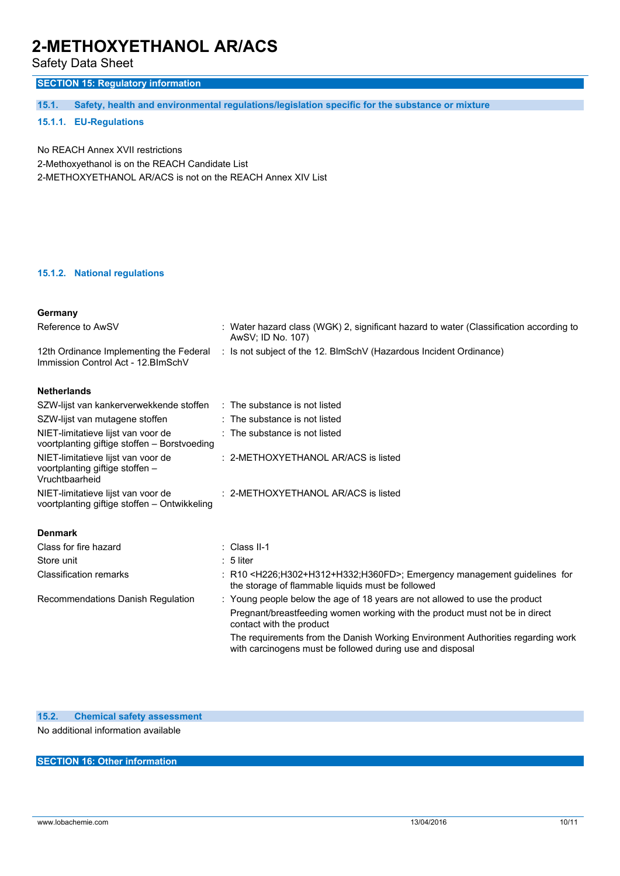Safety Data Sheet

### **SECTION 15: Regulatory information**

**15.1. Safety, health and environmental regulations/legislation specific for the substance or mixture**

#### **15.1.1. EU-Regulations**

No REACH Annex XVII restrictions 2-Methoxyethanol is on the REACH Candidate List 2-METHOXYETHANOL AR/ACS is not on the REACH Annex XIV List

#### **15.1.2. National regulations**

| Germany                                                                                 |                                                                                                                                                            |
|-----------------------------------------------------------------------------------------|------------------------------------------------------------------------------------------------------------------------------------------------------------|
| Reference to AwSV                                                                       | : Water hazard class (WGK) 2, significant hazard to water (Classification according to<br>AwSV; ID No. 107)                                                |
| 12th Ordinance Implementing the Federal<br>Immission Control Act - 12. BlmSchV          | : Is not subject of the 12. BlmSchV (Hazardous Incident Ordinance)                                                                                         |
| <b>Netherlands</b>                                                                      |                                                                                                                                                            |
| SZW-lijst van kankerverwekkende stoffen                                                 | $\therefore$ The substance is not listed                                                                                                                   |
| SZW-lijst van mutagene stoffen                                                          | $\therefore$ The substance is not listed                                                                                                                   |
| NIET-limitatieve lijst van voor de<br>voortplanting giftige stoffen - Borstvoeding      | : The substance is not listed                                                                                                                              |
| NIET-limitatieve lijst van voor de<br>voortplanting giftige stoffen -<br>Vruchtbaarheid | : 2-METHOXYETHANOL AR/ACS is listed                                                                                                                        |
| NIET-limitatieve lijst van voor de<br>voortplanting giftige stoffen - Ontwikkeling      | $: 2$ -METHOXYETHANOL AR/ACS is listed                                                                                                                     |
| <b>Denmark</b>                                                                          |                                                                                                                                                            |
| Class for fire hazard                                                                   | $\therefore$ Class II-1                                                                                                                                    |
| Store unit                                                                              | $: 5$ liter                                                                                                                                                |
| <b>Classification remarks</b>                                                           | : R10 <h226;h302+h312+h332;h360fd>; Emergency management guidelines for<br/>the storage of flammable liquids must be followed</h226;h302+h312+h332;h360fd> |
| Recommendations Danish Regulation                                                       | : Young people below the age of 18 years are not allowed to use the product                                                                                |
|                                                                                         | Pregnant/breastfeeding women working with the product must not be in direct<br>contact with the product                                                    |
|                                                                                         | The requirements from the Danish Working Environment Authorities regarding work<br>with carcinogens must be followed during use and disposal               |
|                                                                                         |                                                                                                                                                            |

#### **SECTION 16: Other information**